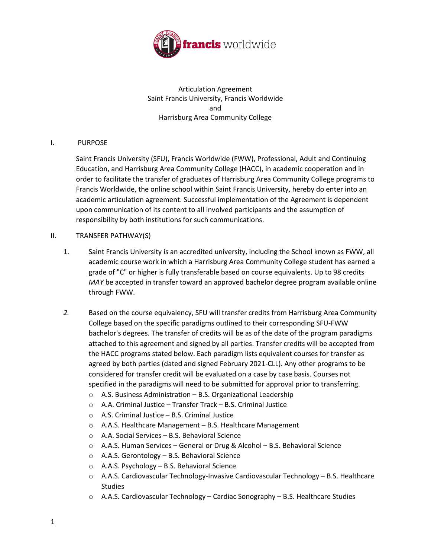

Articulation Agreement Saint Francis University, Francis Worldwide and Harrisburg Area Community College

### I. PURPOSE

Saint Francis University (SFU), Francis Worldwide (FWW), Professional, Adult and Continuing Education, and Harrisburg Area Community College (HACC), in academic cooperation and in order to facilitate the transfer of graduates of Harrisburg Area Community College programs to Francis Worldwide, the online school within Saint Francis University, hereby do enter into an academic articulation agreement. Successful implementation of the Agreement is dependent upon communication of its content to all involved participants and the assumption of responsibility by both institutions for such communications.

#### II. TRANSFER PATHWAY(S)

- 1. Saint Francis University is an accredited university, including the School known as FWW, all academic course work in which a Harrisburg Area Community College student has earned a grade of "C" or higher is fully transferable based on course equivalents. Up to 98 credits *MAY* be accepted in transfer toward an approved bachelor degree program available online through FWW.
- *2.* Based on the course equivalency, SFU will transfer credits from Harrisburg Area Community College based on the specific paradigms outlined to their corresponding SFU-FWW bachelor's degrees. The transfer of credits will be as of the date of the program paradigms attached to this agreement and signed by all parties. Transfer credits will be accepted from the HACC programs stated below. Each paradigm lists equivalent courses for transfer as agreed by both parties (dated and signed February 2021-CLL). Any other programs to be considered for transfer credit will be evaluated on a case by case basis. Courses not specified in the paradigms will need to be submitted for approval prior to transferring.
	- o A.S. Business Administration B.S. Organizational Leadership
	- o A.A. Criminal Justice Transfer Track B.S. Criminal Justice
	- o A.S. Criminal Justice B.S. Criminal Justice
	- o A.A.S. Healthcare Management B.S. Healthcare Management
	- o A.A. Social Services B.S. Behavioral Science
	- o A.A.S. Human Services General or Drug & Alcohol B.S. Behavioral Science
	- o A.A.S. Gerontology B.S. Behavioral Science
	- o A.A.S. Psychology B.S. Behavioral Science
	- o A.A.S. Cardiovascular Technology-Invasive Cardiovascular Technology B.S. Healthcare Studies
	- $\circ$  A.A.S. Cardiovascular Technology Cardiac Sonography B.S. Healthcare Studies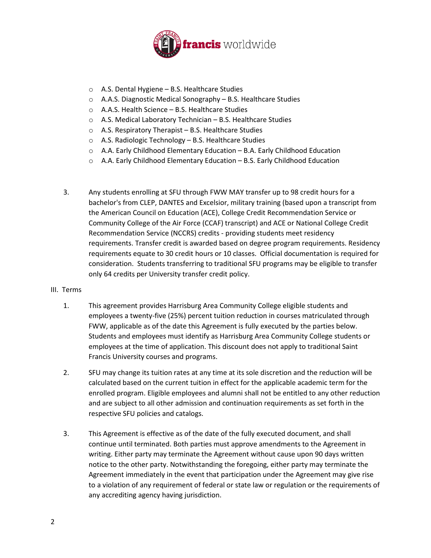

- o A.S. Dental Hygiene B.S. Healthcare Studies
- o A.A.S. Diagnostic Medical Sonography B.S. Healthcare Studies
- o A.A.S. Health Science B.S. Healthcare Studies
- o A.S. Medical Laboratory Technician B.S. Healthcare Studies
- o A.S. Respiratory Therapist B.S. Healthcare Studies
- o A.S. Radiologic Technology B.S. Healthcare Studies
- o A.A. Early Childhood Elementary Education B.A. Early Childhood Education
- $\circ$  A.A. Early Childhood Elementary Education B.S. Early Childhood Education
- 3. Any students enrolling at SFU through FWW MAY transfer up to 98 credit hours for a bachelor's from CLEP, DANTES and Excelsior, military training (based upon a transcript from the American Council on Education (ACE), College Credit Recommendation Service or Community College of the Air Force (CCAF) transcript) and ACE or National College Credit Recommendation Service (NCCRS) credits - providing students meet residency requirements. Transfer credit is awarded based on degree program requirements. Residency requirements equate to 30 credit hours or 10 classes. Official documentation is required for consideration. Students transferring to traditional SFU programs may be eligible to transfer only 64 credits per University transfer credit policy.

#### III. Terms

- 1. This agreement provides Harrisburg Area Community College eligible students and employees a twenty-five (25%) percent tuition reduction in courses matriculated through FWW, applicable as of the date this Agreement is fully executed by the parties below. Students and employees must identify as Harrisburg Area Community College students or employees at the time of application. This discount does not apply to traditional Saint Francis University courses and programs.
- 2. SFU may change its tuition rates at any time at its sole discretion and the reduction will be calculated based on the current tuition in effect for the applicable academic term for the enrolled program. Eligible employees and alumni shall not be entitled to any other reduction and are subject to all other admission and continuation requirements as set forth in the respective SFU policies and catalogs.
- 3. This Agreement is effective as of the date of the fully executed document, and shall continue until terminated. Both parties must approve amendments to the Agreement in writing. Either party may terminate the Agreement without cause upon 90 days written notice to the other party. Notwithstanding the foregoing, either party may terminate the Agreement immediately in the event that participation under the Agreement may give rise to a violation of any requirement of federal or state law or regulation or the requirements of any accrediting agency having jurisdiction.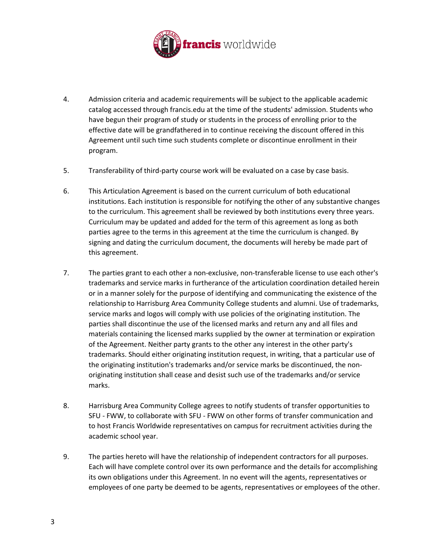

- 4. Admission criteria and academic requirements will be subject to the applicable academic catalog accessed through francis.edu at the time of the students' admission. Students who have begun their program of study or students in the process of enrolling prior to the effective date will be grandfathered in to continue receiving the discount offered in this Agreement until such time such students complete or discontinue enrollment in their program.
- 5. Transferability of third-party course work will be evaluated on a case by case basis.
- 6. This Articulation Agreement is based on the current curriculum of both educational institutions. Each institution is responsible for notifying the other of any substantive changes to the curriculum. This agreement shall be reviewed by both institutions every three years. Curriculum may be updated and added for the term of this agreement as long as both parties agree to the terms in this agreement at the time the curriculum is changed. By signing and dating the curriculum document, the documents will hereby be made part of this agreement.
- 7. The parties grant to each other a non-exclusive, non-transferable license to use each other's trademarks and service marks in furtherance of the articulation coordination detailed herein or in a manner solely for the purpose of identifying and communicating the existence of the relationship to Harrisburg Area Community College students and alumni. Use of trademarks, service marks and logos will comply with use policies of the originating institution. The parties shall discontinue the use of the licensed marks and return any and all files and materials containing the licensed marks supplied by the owner at termination or expiration of the Agreement. Neither party grants to the other any interest in the other party's trademarks. Should either originating institution request, in writing, that a particular use of the originating institution's trademarks and/or service marks be discontinued, the nonoriginating institution shall cease and desist such use of the trademarks and/or service marks.
- 8. Harrisburg Area Community College agrees to notify students of transfer opportunities to SFU - FWW, to collaborate with SFU - FWW on other forms of transfer communication and to host Francis Worldwide representatives on campus for recruitment activities during the academic school year.
- 9. The parties hereto will have the relationship of independent contractors for all purposes. Each will have complete control over its own performance and the details for accomplishing its own obligations under this Agreement. In no event will the agents, representatives or employees of one party be deemed to be agents, representatives or employees of the other.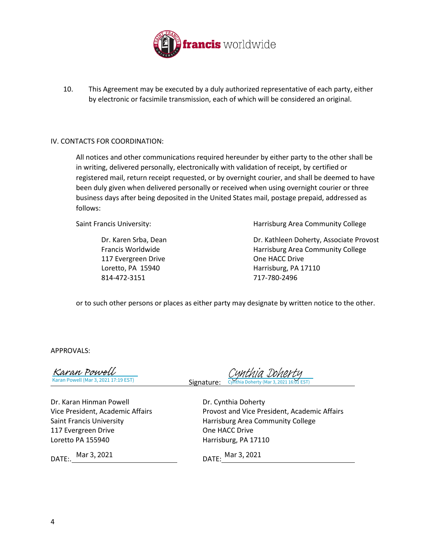

10. This Agreement may be executed by a duly authorized representative of each party, either by electronic or facsimile transmission, each of which will be considered an original.

#### IV. CONTACTS FOR COORDINATION:

All notices and other communications required hereunder by either party to the other shall be in writing, delivered personally, electronically with validation of receipt, by certified or registered mail, return receipt requested, or by overnight courier, and shall be deemed to have been duly given when delivered personally or received when using overnight courier or three business days after being deposited in the United States mail, postage prepaid, addressed as follows:

117 Evergreen Drive **Case Cone HACC Drive** One HACC Drive 814-472-3151 717-780-2496

Saint Francis University: Harrisburg Area Community College

Dr. Karen Srba, Dean Dr. Kathleen Doherty, Associate Provost Francis Worldwide Harrisburg Area Community College Loretto, PA 15940 Harrisburg, PA 17110

or to such other persons or places as either party may designate by written notice to the other.

APPROVALS:

| <u>Karan Powell</u>                  |
|--------------------------------------|
| Karan Powell (Mar 3, 2021 17:19 EST) |

 Signature: Cynthia Doherty (Mar 3, 2021 16:01 EST) [Cynthia Doherty](https://adobecancelledaccountschannel.na2.documents.adobe.com/verifier?tx=CBJCHBCAABAA92zTec2m3bqmPruZZwNKQon8nQ0Ma5Px)

Dr. Karan Hinman Powell **Dr. Cynthia Doherty** 117 Evergreen Drive **Case Cone HACC Drive** One HACC Drive Loretto PA 155940 Harrisburg, PA 17110

Vice President, Academic Affairs Provost and Vice President, Academic Affairs Saint Francis University **Harrisburg Area Community College** 

DATE:. DATE: Mar 3, 2021

DATE: Mar 3, 2021